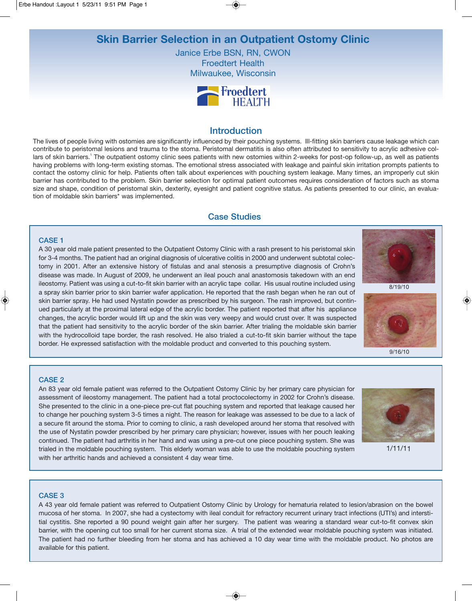# **Skin Barrier Selection in an Outpatient Ostomy Clinic**

Janice Erbe BSN, RN, CWON Froedtert Health Milwaukee, Wisconsin



# **Introduction**

The lives of people living with ostomies are significantly influenced by their pouching systems. Ill-fitting skin barriers cause leakage which can contribute to peristomal lesions and trauma to the stoma. Peristomal dermatitis is also often attributed to sensitivity to acrylic adhesive collars of skin barriers.<sup>1</sup> The outpatient ostomy clinic sees patients with new ostomies within 2-weeks for post-op follow-up, as well as patients having problems with long-term existing stomas. The emotional stress associated with leakage and painful skin irritation prompts patients to contact the ostomy clinic for help. Patients often talk about experiences with pouching system leakage. Many times, an improperly cut skin barrier has contributed to the problem. Skin barrier selection for optimal patient outcomes requires consideration of factors such as stoma size and shape, condition of peristomal skin, dexterity, eyesight and patient cognitive status. As patients presented to our clinic, an evaluation of moldable skin barriers\* was implemented.

# Case Studies

### CASE 1

A 30 year old male patient presented to the Outpatient Ostomy Clinic with a rash present to his peristomal skin for 3-4 months. The patient had an original diagnosis of ulcerative colitis in 2000 and underwent subtotal colectomy in 2001. After an extensive history of fistulas and anal stenosis a presumptive diagnosis of Crohn's disease was made. In August of 2009, he underwent an ileal pouch anal anastomosis takedown with an end ileostomy. Patient was using a cut-to-fit skin barrier with an acrylic tape collar. His usual routine included using a spray skin barrier prior to skin barrier wafer application. He reported that the rash began when he ran out of skin barrier spray. He had used Nystatin powder as prescribed by his surgeon. The rash improved, but continued particularly at the proximal lateral edge of the acrylic border. The patient reported that after his appliance changes, the acrylic border would lift up and the skin was very weepy and would crust over. It was suspected that the patient had sensitivity to the acrylic border of the skin barrier. After trialing the moldable skin barrier with the hydrocolloid tape border, the rash resolved. He also trialed a cut-to-fit skin barrier without the tape border. He expressed satisfaction with the moldable product and converted to this pouching system.



8/19/10



9/16/10

### CASE 2

An 83 year old female patient was referred to the Outpatient Ostomy Clinic by her primary care physician for assessment of ileostomy management. The patient had a total proctocolectomy in 2002 for Crohn's disease. She presented to the clinic in a one-piece pre-cut flat pouching system and reported that leakage caused her to change her pouching system 3-5 times a night. The reason for leakage was assessed to be due to a lack of a secure fit around the stoma. Prior to coming to clinic, a rash developed around her stoma that resolved with the use of Nystatin powder prescribed by her primary care physician; however, issues with her pouch leaking continued. The patient had arthritis in her hand and was using a pre-cut one piece pouching system. She was trialed in the moldable pouching system. This elderly woman was able to use the moldable pouching system with her arthritic hands and achieved a consistent 4 day wear time.



1/11/11

### CASE 3

A 43 year old female patient was referred to Outpatient Ostomy Clinic by Urology for hematuria related to lesion/abrasion on the bowel mucosa of her stoma. In 2007, she had a cystectomy with ileal conduit for refractory recurrent urinary tract infections (UTI's) and interstitial cystitis. She reported a 90 pound weight gain after her surgery. The patient was wearing a standard wear cut-to-fit convex skin barrier, with the opening cut too small for her current stoma size. A trial of the extended wear moldable pouching system was initiated. The patient had no further bleeding from her stoma and has achieved a 10 day wear time with the moldable product. No photos are available for this patient.